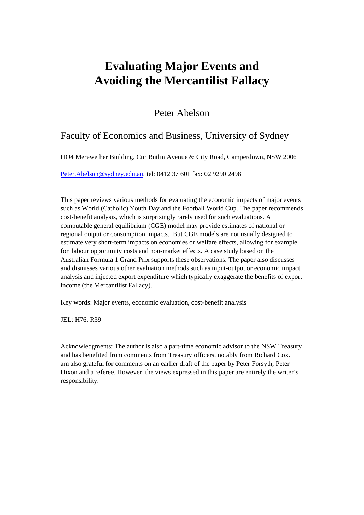# **Evaluating Major Events and Avoiding the Mercantilist Fallacy**

Peter Abelson

# Faculty of Economics and Business, University of Sydney

HO4 Merewether Building, Cnr Butlin Avenue & City Road, Camperdown, NSW 2006

[Peter.Abelson@sydney.edu.au](mailto:Peter.Abelson@sydney.edu.au), tel: 0412 37 601 fax: 02 9290 2498

This paper reviews various methods for evaluating the economic impacts of major events such as World (Catholic) Youth Day and the Football World Cup. The paper recommends cost-benefit analysis, which is surprisingly rarely used for such evaluations. A computable general equilibrium (CGE) model may provide estimates of national or regional output or consumption impacts. But CGE models are not usually designed to estimate very short-term impacts on economies or welfare effects, allowing for example for labour opportunity costs and non-market effects. A case study based on the Australian Formula 1 Grand Prix supports these observations. The paper also discusses and dismisses various other evaluation methods such as input-output or economic impact analysis and injected export expenditure which typically exaggerate the benefits of export income (the Mercantilist Fallacy).

Key words: Major events, economic evaluation, cost-benefit analysis

JEL: H76, R39

Acknowledgments: The author is also a part-time economic advisor to the NSW Treasury and has benefited from comments from Treasury officers, notably from Richard Cox. I am also grateful for comments on an earlier draft of the paper by Peter Forsyth, Peter Dixon and a referee. However the views expressed in this paper are entirely the writer's responsibility.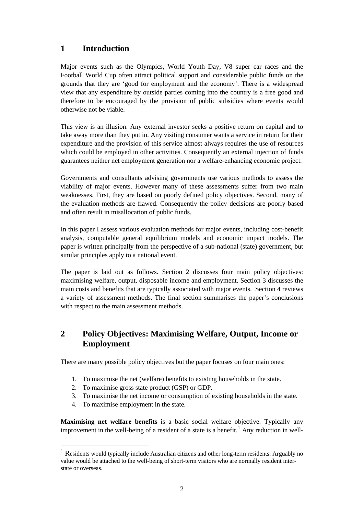# **1 Introduction**

Major events such as the Olympics, World Youth Day, V8 super car races and the Football World Cup often attract political support and considerable public funds on the grounds that they are 'good for employment and the economy'. There is a widespread view that any expenditure by outside parties coming into the country is a free good and therefore to be encouraged by the provision of public subsidies where events would otherwise not be viable.

This view is an illusion. Any external investor seeks a positive return on capital and to take away more than they put in. Any visiting consumer wants a service in return for their expenditure and the provision of this service almost always requires the use of resources which could be employed in other activities. Consequently an external injection of funds guarantees neither net employment generation nor a welfare-enhancing economic project.

Governments and consultants advising governments use various methods to assess the viability of major events. However many of these assessments suffer from two main weaknesses. First, they are based on poorly defined policy objectives. Second, many of the evaluation methods are flawed. Consequently the policy decisions are poorly based and often result in misallocation of public funds.

In this paper I assess various evaluation methods for major events, including cost-benefit analysis, computable general equilibrium models and economic impact models. The paper is written principally from the perspective of a sub-national (state) government, but similar principles apply to a national event.

The paper is laid out as follows. Section 2 discusses four main policy objectives: maximising welfare, output, disposable income and employment. Section 3 discusses the main costs and benefits that are typically associated with major events. Section 4 reviews a variety of assessment methods. The final section summarises the paper's conclusions with respect to the main assessment methods.

# **2 Policy Objectives: Maximising Welfare, Output, Income or Employment**

There are many possible policy objectives but the paper focuses on four main ones:

- 1. To maximise the net (welfare) benefits to existing households in the state.
- 2. To maximise gross state product (GSP) or GDP.
- 3. To maximise the net income or consumption of existing households in the state.
- 4. To maximise employment in the state.

 $\overline{a}$ 

**Maximising net welfare benefits** is a basic social welfare objective. Typically any improvement in the well-being of a resident of a state is a benefit.<sup>[1](#page-1-0)</sup> Any reduction in well-

<span id="page-1-0"></span><sup>&</sup>lt;sup>1</sup> Residents would typically include Australian citizens and other long-term residents. Arguably no value would be attached to the well-being of short-term visitors who are normally resident interstate or overseas.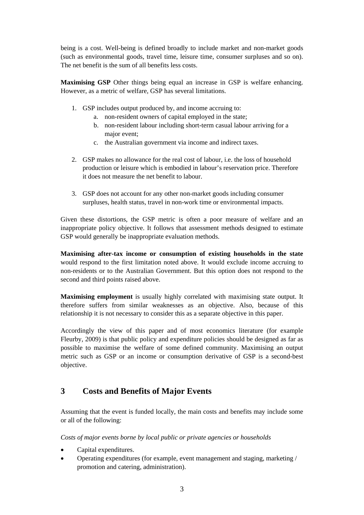being is a cost. Well-being is defined broadly to include market and non-market goods (such as environmental goods, travel time, leisure time, consumer surpluses and so on). The net benefit is the sum of all benefits less costs.

**Maximising GSP** Other things being equal an increase in GSP is welfare enhancing. However, as a metric of welfare, GSP has several limitations.

- 1. GSP includes output produced by, and income accruing to:
	- a. non-resident owners of capital employed in the state;
	- b. non-resident labour including short-term casual labour arriving for a major event;
	- c. the Australian government via income and indirect taxes.
- 2. GSP makes no allowance for the real cost of labour, i.e. the loss of household production or leisure which is embodied in labour's reservation price. Therefore it does not measure the net benefit to labour.
- 3. GSP does not account for any other non-market goods including consumer surpluses, health status, travel in non-work time or environmental impacts.

Given these distortions, the GSP metric is often a poor measure of welfare and an inappropriate policy objective. It follows that assessment methods designed to estimate GSP would generally be inappropriate evaluation methods.

**Maximising after-tax income or consumption of existing households in the state** would respond to the first limitation noted above. It would exclude income accruing to non-residents or to the Australian Government. But this option does not respond to the second and third points raised above.

**Maximising employment** is usually highly correlated with maximising state output. It therefore suffers from similar weaknesses as an objective. Also, because of this relationship it is not necessary to consider this as a separate objective in this paper.

Accordingly the view of this paper and of most economics literature (for example Fleurby, 2009) is that public policy and expenditure policies should be designed as far as possible to maximise the welfare of some defined community. Maximising an output metric such as GSP or an income or consumption derivative of GSP is a second-best objective.

# **3 Costs and Benefits of Major Events**

Assuming that the event is funded locally, the main costs and benefits may include some or all of the following:

*Costs of major events borne by local public or private agencies or households* 

- Capital expenditures.
- Operating expenditures (for example, event management and staging, marketing / promotion and catering, administration).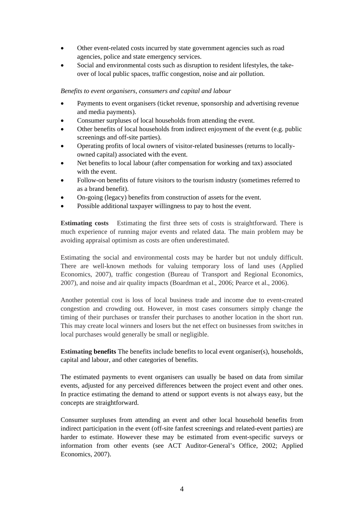- Other event-related costs incurred by state government agencies such as road agencies, police and state emergency services.
- Social and environmental costs such as disruption to resident lifestyles, the takeover of local public spaces, traffic congestion, noise and air pollution.

*Benefits to event organisers, consumers and capital and labour* 

- Payments to event organisers (ticket revenue, sponsorship and advertising revenue and media payments).
- Consumer surpluses of local households from attending the event.
- Other benefits of local households from indirect enjoyment of the event (e.g. public screenings and off-site parties).
- Operating profits of local owners of visitor-related businesses (returns to locallyowned capital) associated with the event.
- Net benefits to local labour (after compensation for working and tax) associated with the event.
- Follow-on benefits of future visitors to the tourism industry (sometimes referred to as a brand benefit).
- On-going (legacy) benefits from construction of assets for the event.
- Possible additional taxpayer willingness to pay to host the event.

**Estimating costs** Estimating the first three sets of costs is straightforward. There is much experience of running major events and related data. The main problem may be avoiding appraisal optimism as costs are often underestimated.

Estimating the social and environmental costs may be harder but not unduly difficult. There are well-known methods for valuing temporary loss of land uses (Applied Economics, 2007), traffic congestion (Bureau of Transport and Regional Economics, 2007), and noise and air quality impacts (Boardman et al., 2006; Pearce et al., 2006).

Another potential cost is loss of local business trade and income due to event-created congestion and crowding out. However, in most cases consumers simply change the timing of their purchases or transfer their purchases to another location in the short run. This may create local winners and losers but the net effect on businesses from switches in local purchases would generally be small or negligible.

**Estimating benefits** The benefits include benefits to local event organiser(s), households, capital and labour, and other categories of benefits.

The estimated payments to event organisers can usually be based on data from similar events, adjusted for any perceived differences between the project event and other ones. In practice estimating the demand to attend or support events is not always easy, but the concepts are straightforward.

Consumer surpluses from attending an event and other local household benefits from indirect participation in the event (off-site fanfest screenings and related-event parties) are harder to estimate. However these may be estimated from event-specific surveys or information from other events (see ACT Auditor-General's Office, 2002; Applied Economics, 2007).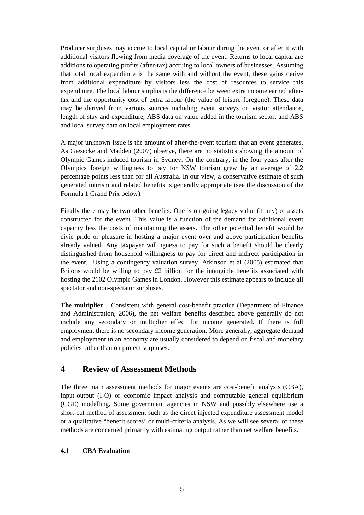Producer surpluses may accrue to local capital or labour during the event or after it with additional visitors flowing from media coverage of the event. Returns to local capital are additions to operating profits (after-tax) accruing to local owners of businesses. Assuming that total local expenditure is the same with and without the event, these gains derive from additional expenditure by visitors less the cost of resources to service this expenditure. The local labour surplus is the difference between extra income earned aftertax and the opportunity cost of extra labour (the value of leisure foregone). These data may be derived from various sources including event surveys on visitor attendance, length of stay and expenditure, ABS data on value-added in the tourism sector, and ABS and local survey data on local employment rates.

A major unknown issue is the amount of after-the-event tourism that an event generates. As Giesecke and Madden (2007) observe, there are no statistics showing the amount of Olympic Games induced tourism in Sydney. On the contrary, in the four years after the Olympics foreign willingness to pay for NSW tourism grew by an average of 2.2 percentage points less than for all Australia. In our view, a conservative estimate of such generated tourism and related benefits is generally appropriate (see the discussion of the Formula 1 Grand Prix below).

Finally there may be two other benefits. One is on-going legacy value (if any) of assets constructed for the event. This value is a function of the demand for additional event capacity less the costs of maintaining the assets. The other potential benefit would be civic pride or pleasure in hosting a major event over and above participation benefits already valued. Any taxpayer willingness to pay for such a benefit should be clearly distinguished from household willingness to pay for direct and indirect participation in the event. Using a contingency valuation survey, Atkinson et al (2005) estimated that Britons would be willing to pay £2 billion for the intangible benefits associated with hosting the 2102 Olympic Games in London. However this estimate appears to include all spectator and non-spectator surpluses.

**The multiplier** Consistent with general cost-benefit practice (Department of Finance and Administration, 2006), the net welfare benefits described above generally do not include any secondary or multiplier effect for income generated. If there is full employment there is no secondary income generation. More generally, aggregate demand and employment in an economy are usually considered to depend on fiscal and monetary policies rather than on project surpluses.

## **4 Review of Assessment Methods**

The three main assessment methods for major events are cost-benefit analysis (CBA), input-output (I-O) or economic impact analysis and computable general equilibrium (CGE) modelling. Some government agencies in NSW and possibly elsewhere use a short-cut method of assessment such as the direct injected expenditure assessment model or a qualitative "benefit scores' or multi-criteria analysis. As we will see several of these methods are concerned primarily with estimating output rather than net welfare benefits.

#### **4.1 CBA Evaluation**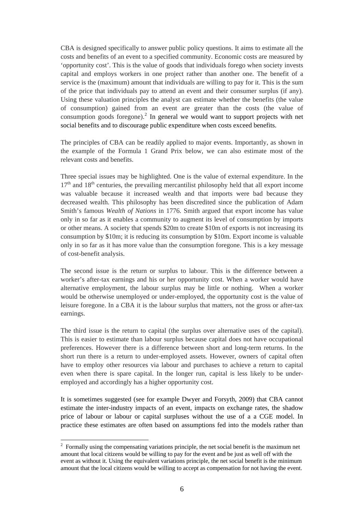CBA is designed specifically to answer public policy questions. It aims to estimate all the costs and benefits of an event to a specified community. Economic costs are measured by 'opportunity cost'. This is the value of goods that individuals forego when society invests capital and employs workers in one project rather than another one. The benefit of a service is the (maximum) amount that individuals are willing to pay for it. This is the sum of the price that individuals pay to attend an event and their consumer surplus (if any). Using these valuation principles the analyst can estimate whether the benefits (the value of consumption) gained from an event are greater than the costs (the value of consumption goods foregone).<sup>[2](#page-5-0)</sup> In general we would want to support projects with net social benefits and to discourage public expenditure when costs exceed benefits.

The principles of CBA can be readily applied to major events. Importantly, as shown in the example of the Formula 1 Grand Prix below, we can also estimate most of the relevant costs and benefits.

Three special issues may be highlighted. One is the value of external expenditure. In the  $17<sup>th</sup>$  and  $18<sup>th</sup>$  centuries, the prevailing mercantilist philosophy held that all export income was valuable because it increased wealth and that imports were bad because they decreased wealth. This philosophy has been discredited since the publication of Adam Smith's famous *Wealth of Nations* in 1776. Smith argued that export income has value only in so far as it enables a community to augment its level of consumption by imports or other means. A society that spends \$20m to create \$10m of exports is not increasing its consumption by \$10m; it is reducing its consumption by \$10m. Export income is valuable only in so far as it has more value than the consumption foregone. This is a key message of cost-benefit analysis.

The second issue is the return or surplus to labour. This is the difference between a worker's after-tax earnings and his or her opportunity cost. When a worker would have alternative employment, the labour surplus may be little or nothing. When a worker would be otherwise unemployed or under-employed, the opportunity cost is the value of leisure foregone. In a CBA it is the labour surplus that matters, not the gross or after-tax earnings.

The third issue is the return to capital (the surplus over alternative uses of the capital). This is easier to estimate than labour surplus because capital does not have occupational preferences. However there is a difference between short and long-term returns. In the short run there is a return to under-employed assets. However, owners of capital often have to employ other resources via labour and purchases to achieve a return to capital even when there is spare capital. In the longer run, capital is less likely to be underemployed and accordingly has a higher opportunity cost.

It is sometimes suggested (see for example Dwyer and Forsyth, 2009) that CBA cannot estimate the inter-industry impacts of an event, impacts on exchange rates, the shadow price of labour or labour or capital surpluses without the use of a a CGE model. In practice these estimates are often based on assumptions fed into the models rather than

<span id="page-5-0"></span><sup>&</sup>lt;sup>2</sup> Formally using the compensating variations principle, the net social benefit is the maximum net amount that local citizens would be willing to pay for the event and be just as well off with the event as without it. Using the equivalent variations principle, the net social benefit is the minimum amount that the local citizens would be willing to accept as compensation for not having the event.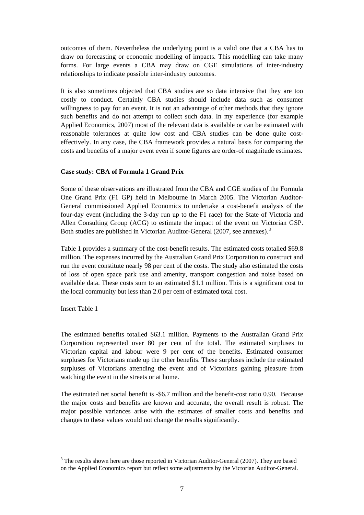outcomes of them. Nevertheless the underlying point is a valid one that a CBA has to draw on forecasting or economic modelling of impacts. This modelling can take many forms. For large events a CBA may draw on CGE simulations of inter-industry relationships to indicate possible inter-industry outcomes.

It is also sometimes objected that CBA studies are so data intensive that they are too costly to conduct. Certainly CBA studies should include data such as consumer willingness to pay for an event. It is not an advantage of other methods that they ignore such benefits and do not attempt to collect such data. In my experience (for example Applied Economics, 2007) most of the relevant data is available or can be estimated with reasonable tolerances at quite low cost and CBA studies can be done quite costeffectively. In any case, the CBA framework provides a natural basis for comparing the costs and benefits of a major event even if some figures are order-of magnitude estimates.

#### **Case study: CBA of Formula 1 Grand Prix**

Some of these observations are illustrated from the CBA and CGE studies of the Formula One Grand Prix (F1 GP) held in Melbourne in March 2005. The Victorian Auditor-General commissioned Applied Economics to undertake a cost-benefit analysis of the four-day event (including the 3-day run up to the F1 race) for the State of Victoria and Allen Consulting Group (ACG) to estimate the impact of the event on Victorian GSP. Both studies are published in Victorian Auditor-General (2007, see annexes).<sup>[3](#page-6-0)</sup>

Table 1 provides a summary of the cost-benefit results. The estimated costs totalled \$69.8 million. The expenses incurred by the Australian Grand Prix Corporation to construct and run the event constitute nearly 98 per cent of the costs. The study also estimated the costs of loss of open space park use and amenity, transport congestion and noise based on available data. These costs sum to an estimated \$1.1 million. This is a significant cost to the local community but less than 2.0 per cent of estimated total cost.

Insert Table 1

The estimated benefits totalled \$63.1 million. Payments to the Australian Grand Prix Corporation represented over 80 per cent of the total. The estimated surpluses to Victorian capital and labour were 9 per cent of the benefits. Estimated consumer surpluses for Victorians made up the other benefits. These surpluses include the estimated surpluses of Victorians attending the event and of Victorians gaining pleasure from watching the event in the streets or at home.

The estimated net social benefit is -\$6.7 million and the benefit-cost ratio 0.90. Because the major costs and benefits are known and accurate, the overall result is robust. The major possible variances arise with the estimates of smaller costs and benefits and changes to these values would not change the results significantly.

<span id="page-6-0"></span> $\overline{a}$  $3$  The results shown here are those reported in Victorian Auditor-General (2007). They are based on the Applied Economics report but reflect some adjustments by the Victorian Auditor-General.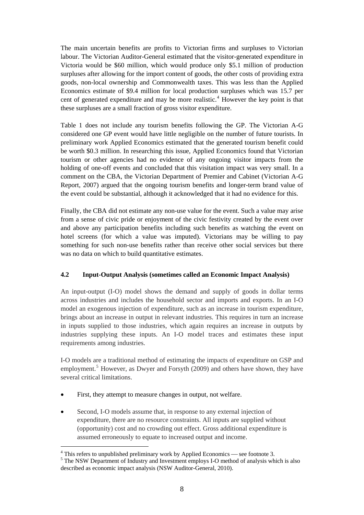The main uncertain benefits are profits to Victorian firms and surpluses to Victorian labour. The Victorian Auditor-General estimated that the visitor-generated expenditure in Victoria would be \$60 million, which would produce only \$5.1 million of production surpluses after allowing for the import content of goods, the other costs of providing extra goods, non-local ownership and Commonwealth taxes. This was less than the Applied Economics estimate of \$9.4 million for local production surpluses which was 15.7 per cent of generated expenditure and may be more realistic.<sup>[4](#page-7-0)</sup> However the key point is that these surpluses are a small fraction of gross visitor expenditure.

Table 1 does not include any tourism benefits following the GP. The Victorian A-G considered one GP event would have little negligible on the number of future tourists. In preliminary work Applied Economics estimated that the generated tourism benefit could be worth \$0.3 million. In researching this issue, Applied Economics found that Victorian tourism or other agencies had no evidence of any ongoing visitor impacts from the holding of one-off events and concluded that this visitation impact was very small. In a comment on the CBA, the Victorian Department of Premier and Cabinet (Victorian A-G Report, 2007) argued that the ongoing tourism benefits and longer-term brand value of the event could be substantial, although it acknowledged that it had no evidence for this.

Finally, the CBA did not estimate any non-use value for the event. Such a value may arise from a sense of civic pride or enjoyment of the civic festivity created by the event over and above any participation benefits including such benefits as watching the event on hotel screens (for which a value was imputed). Victorians may be willing to pay something for such non-use benefits rather than receive other social services but there was no data on which to build quantitative estimates.

#### **4.2 Input-Output Analysis (sometimes called an Economic Impact Analysis)**

An input-output (I-O) model shows the demand and supply of goods in dollar terms across industries and includes the household sector and imports and exports. In an I-O model an exogenous injection of expenditure, such as an increase in tourism expenditure, brings about an increase in output in relevant industries. This requires in turn an increase in inputs supplied to those industries, which again requires an increase in outputs by industries supplying these inputs. An I-O model traces and estimates these input requirements among industries.

I-O models are a traditional method of estimating the impacts of expenditure on GSP and employment.<sup>[5](#page-7-1)</sup> However, as Dwyer and Forsyth (2009) and others have shown, they have several critical limitations.

First, they attempt to measure changes in output, not welfare.

 $\overline{a}$ 

 Second, I-O models assume that, in response to any external injection of expenditure, there are no resource constraints. All inputs are supplied without (opportunity) cost and no crowding out effect. Gross additional expenditure is assumed erroneously to equate to increased output and income.

<sup>&</sup>lt;sup>4</sup> This refers to unpublished preliminary work by Applied Economics — see footnote 3.

<span id="page-7-1"></span><span id="page-7-0"></span><sup>&</sup>lt;sup>5</sup> The NSW Department of Industry and Investment employs I-O method of analysis which is also described as economic impact analysis (NSW Auditor-General, 2010).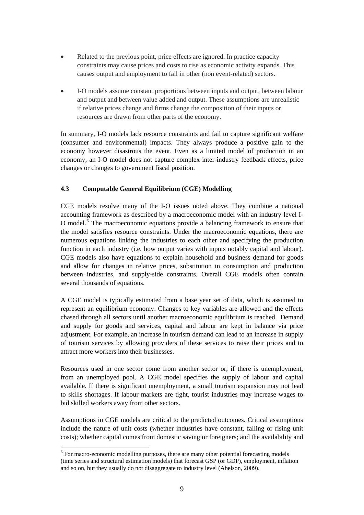- Related to the previous point, price effects are ignored. In practice capacity constraints may cause prices and costs to rise as economic activity expands. This causes output and employment to fall in other (non event-related) sectors.
- I-O models assume constant proportions between inputs and output, between labour and output and between value added and output. These assumptions are unrealistic if relative prices change and firms change the composition of their inputs or resources are drawn from other parts of the economy.

In summary, I-O models lack resource constraints and fail to capture significant welfare (consumer and environmental) impacts. They always produce a positive gain to the economy however disastrous the event. Even as a limited model of production in an economy, an I-O model does not capture complex inter-industry feedback effects, price changes or changes to government fiscal position.

#### **4.3 Computable General Equilibrium (CGE) Modelling**

CGE models resolve many of the I-O issues noted above. They combine a national accounting framework as described by a macroeconomic model with an industry-level I-O model.<sup>[6](#page-8-0)</sup> The macroeconomic equations provide a balancing framework to ensure that the model satisfies resource constraints. Under the macroeconomic equations, there are numerous equations linking the industries to each other and specifying the production function in each industry (i.e. how output varies with inputs notably capital and labour). CGE models also have equations to explain household and business demand for goods and allow for changes in relative prices, substitution in consumption and production between industries, and supply-side constraints. Overall CGE models often contain several thousands of equations.

A CGE model is typically estimated from a base year set of data, which is assumed to represent an equilibrium economy. Changes to key variables are allowed and the effects chased through all sectors until another macroeconomic equilibrium is reached. Demand and supply for goods and services, capital and labour are kept in balance via price adjustment. For example, an increase in tourism demand can lead to an increase in supply of tourism services by allowing providers of these services to raise their prices and to attract more workers into their businesses.

Resources used in one sector come from another sector or, if there is unemployment, from an unemployed pool. A CGE model specifies the supply of labour and capital available. If there is significant unemployment, a small tourism expansion may not lead to skills shortages. If labour markets are tight, tourist industries may increase wages to bid skilled workers away from other sectors.

Assumptions in CGE models are critical to the predicted outcomes. Critical assumptions include the nature of unit costs (whether industries have constant, falling or rising unit costs); whether capital comes from domestic saving or foreigners; and the availability and

 $\overline{a}$ 

<span id="page-8-0"></span><sup>&</sup>lt;sup>6</sup> For macro-economic modelling purposes, there are many other potential forecasting models (time series and structural estimation models) that forecast GSP (or GDP), employment, inflation and so on, but they usually do not disaggregate to industry level (Abelson, 2009).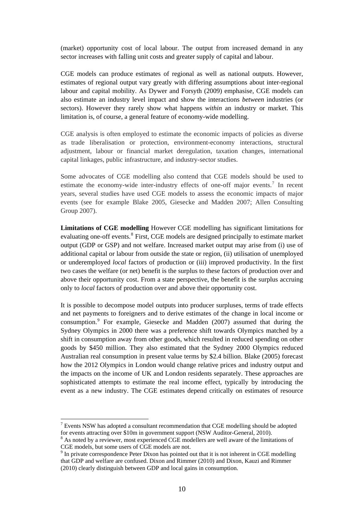(market) opportunity cost of local labour. The output from increased demand in any sector increases with falling unit costs and greater supply of capital and labour.

CGE models can produce estimates of regional as well as national outputs. However, estimates of regional output vary greatly with differing assumptions about inter-regional labour and capital mobility. As Dywer and Forsyth (2009) emphasise, CGE models can also estimate an industry level impact and show the interactions *between* industries (or sectors). However they rarely show what happens *within* an industry or market. This limitation is, of course, a general feature of economy-wide modelling.

CGE analysis is often employed to estimate the economic impacts of policies as diverse as trade liberalisation or protection, environment-economy interactions, structural adjustment, labour or financial market deregulation, taxation changes, international capital linkages, public infrastructure, and industry-sector studies.

Some advocates of CGE modelling also contend that CGE models should be used to estimate the economy-wide inter-industry effects of one-off major events.<sup>[7](#page-9-0)</sup> In recent years, several studies have used CGE models to assess the economic impacts of major events (see for example Blake 2005, Giesecke and Madden 2007; Allen Consulting Group 2007).

**Limitations of CGE modelling** However CGE modelling has significant limitations for evaluating one-off events.<sup>[8](#page-9-1)</sup> First, CGE models are designed principally to estimate market output (GDP or GSP) and not welfare. Increased market output may arise from (i) use of additional capital or labour from outside the state or region, (ii) utilisation of unemployed or underemployed *local* factors of production or (iii) improved productivity. In the first two cases the welfare (or net) benefit is the surplus to these factors of production over and above their opportunity cost. From a state perspective, the benefit is the surplus accruing only to *local* factors of production over and above their opportunity cost.

It is possible to decompose model outputs into producer surpluses, terms of trade effects and net payments to foreigners and to derive estimates of the change in local income or consumption.<sup>[9](#page-9-2)</sup> For example, Giesecke and Madden (2007) assumed that during the Sydney Olympics in 2000 there was a preference shift towards Olympics matched by a shift in consumption away from other goods, which resulted in reduced spending on other goods by \$450 million. They also estimated that the Sydney 2000 Olympics reduced Australian real consumption in present value terms by \$2.4 billion. Blake (2005) forecast how the 2012 Olympics in London would change relative prices and industry output and the impacts on the income of UK and London residents separately. These approaches are sophisticated attempts to estimate the real income effect, typically by introducing the event as a new industry. The CGE estimates depend critically on estimates of resource

 $\overline{a}$ 

<span id="page-9-0"></span> $7$  Events NSW has adopted a consultant recommendation that CGE modelling should be adopted for events attracting over \$10m in government support (NSW Auditor-General, 2010).

<span id="page-9-1"></span><sup>&</sup>lt;sup>8</sup> As noted by a reviewer, most experienced CGE modellers are well aware of the limitations of CGE models, but some users of CGE models are not.

<span id="page-9-2"></span> $9$  In private correspondence Peter Dixon has pointed out that it is not inherent in CGE modelling that GDP and welfare are confused. Dixon and Rimmer (2010) and Dixon, Kauzi and Rimmer (2010) clearly distinguish between GDP and local gains in consumption.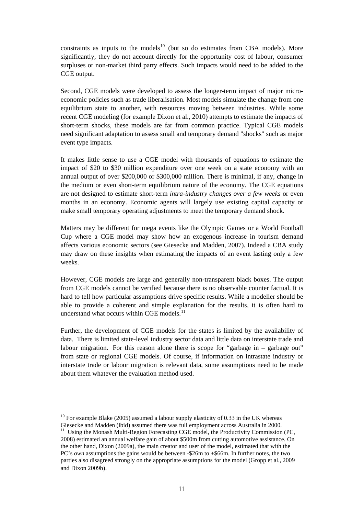constraints as inputs to the models $10$  (but so do estimates from CBA models). More significantly, they do not account directly for the opportunity cost of labour, consumer surpluses or non-market third party effects. Such impacts would need to be added to the CGE output.

Second, CGE models were developed to assess the longer-term impact of major microeconomic policies such as trade liberalisation. Most models simulate the change from one equilibrium state to another, with resources moving between industries. While some recent CGE modeling (for example Dixon et al., 2010) attempts to estimate the impacts of short-term shocks, these models are far from common practice. Typical CGE models need significant adaptation to assess small and temporary demand "shocks" such as major event type impacts.

It makes little sense to use a CGE model with thousands of equations to estimate the impact of \$20 to \$30 million expenditure over one week on a state economy with an annual output of over \$200,000 or \$300,000 million. There is minimal, if any, change in the medium or even short-term equilibrium nature of the economy. The CGE equations are not designed to estimate short-term *intra-industry changes over a few weeks* or even months in an economy. Economic agents will largely use existing capital capacity or make small temporary operating adjustments to meet the temporary demand shock.

Matters may be different for mega events like the Olympic Games or a World Football Cup where a CGE model may show how an exogenous increase in tourism demand affects various economic sectors (see Giesecke and Madden, 2007). Indeed a CBA study may draw on these insights when estimating the impacts of an event lasting only a few weeks.

However, CGE models are large and generally non-transparent black boxes. The output from CGE models cannot be verified because there is no observable counter factual. It is hard to tell how particular assumptions drive specific results. While a modeller should be able to provide a coherent and simple explanation for the results, it is often hard to understand what occurs within CGE models.<sup>[11](#page-10-1)</sup>

Further, the development of CGE models for the states is limited by the availability of data. There is limited state-level industry sector data and little data on interstate trade and labour migration. For this reason alone there is scope for "garbage in – garbage out" from state or regional CGE models. Of course, if information on intrastate industry or interstate trade or labour migration is relevant data, some assumptions need to be made about them whatever the evaluation method used.

<span id="page-10-0"></span> $\overline{a}$  $10$  For example Blake (2005) assumed a labour supply elasticity of 0.33 in the UK whereas Giesecke and Madden (ibid) assumed there was full employment across Australia in 2000.

<span id="page-10-1"></span>Using the Monash Multi-Region Forecasting CGE model, the Productivity Commission (PC, 2008) estimated an annual welfare gain of about \$500m from cutting automotive assistance. On the other hand, Dixon (2009a), the main creator and user of the model, estimated that with the PC's *own* assumptions the gains would be between -\$26m to +\$66m. In further notes, the two parties also disagreed strongly on the appropriate assumptions for the model (Gropp et al., 2009 and Dixon 2009b).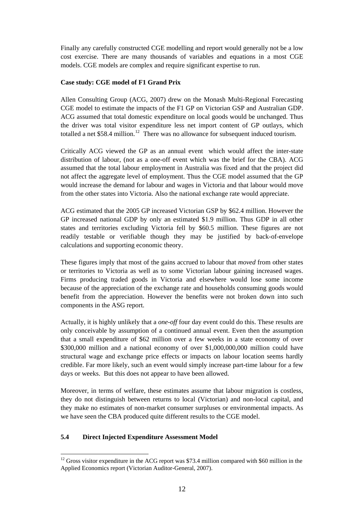Finally any carefully constructed CGE modelling and report would generally not be a low cost exercise. There are many thousands of variables and equations in a most CGE models. CGE models are complex and require significant expertise to run.

#### **Case study: CGE model of F1 Grand Prix**

Allen Consulting Group (ACG, 2007) drew on the Monash Multi-Regional Forecasting CGE model to estimate the impacts of the F1 GP on Victorian GSP and Australian GDP. ACG assumed that total domestic expenditure on local goods would be unchanged. Thus the driver was total visitor expenditure less net import content of GP outlays, which totalled a net \$58.4 million.<sup>[12](#page-11-0)</sup> There was no allowance for subsequent induced tourism.

Critically ACG viewed the GP as an annual event which would affect the inter-state distribution of labour, (not as a one-off event which was the brief for the CBA). ACG assumed that the total labour employment in Australia was fixed and that the project did not affect the aggregate level of employment. Thus the CGE model assumed that the GP would increase the demand for labour and wages in Victoria and that labour would move from the other states into Victoria. Also the national exchange rate would appreciate.

ACG estimated that the 2005 GP increased Victorian GSP by \$62.4 million. However the GP increased national GDP by only an estimated \$1.9 million. Thus GDP in all other states and territories excluding Victoria fell by \$60.5 million. These figures are not readily testable or verifiable though they may be justified by back-of-envelope calculations and supporting economic theory.

These figures imply that most of the gains accrued to labour that *moved* from other states or territories to Victoria as well as to some Victorian labour gaining increased wages. Firms producing traded goods in Victoria and elsewhere would lose some income because of the appreciation of the exchange rate and households consuming goods would benefit from the appreciation. However the benefits were not broken down into such components in the ASG report.

Actually, it is highly unlikely that a *one-off* four day event could do this. These results are only conceivable by assumption of a continued annual event. Even then the assumption that a small expenditure of \$62 million over a few weeks in a state economy of over \$300,000 million and a national economy of over \$1,000,000,000 million could have structural wage and exchange price effects or impacts on labour location seems hardly credible. Far more likely, such an event would simply increase part-time labour for a few days or weeks. But this does not appear to have been allowed.

Moreover, in terms of welfare, these estimates assume that labour migration is costless, they do not distinguish between returns to local (Victorian) and non-local capital, and they make no estimates of non-market consumer surpluses or environmental impacts. As we have seen the CBA produced quite different results to the CGE model.

#### **5.4 Direct Injected Expenditure Assessment Model**

 $\overline{a}$ 

<span id="page-11-0"></span><sup>&</sup>lt;sup>12</sup> Gross visitor expenditure in the ACG report was \$73.4 million compared with \$60 million in the Applied Economics report (Victorian Auditor-General, 2007).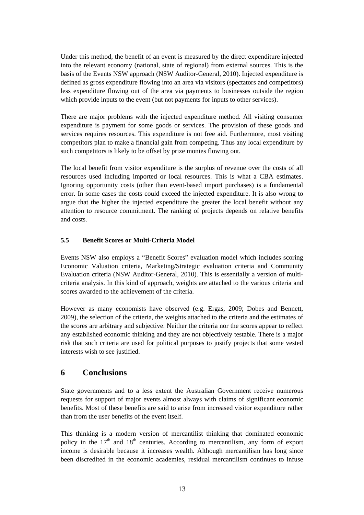Under this method, the benefit of an event is measured by the direct expenditure injected into the relevant economy (national, state of regional) from external sources. This is the basis of the Events NSW approach (NSW Auditor-General, 2010). Injected expenditure is defined as gross expenditure flowing into an area via visitors (spectators and competitors) less expenditure flowing out of the area via payments to businesses outside the region which provide inputs to the event (but not payments for inputs to other services).

There are major problems with the injected expenditure method. All visiting consumer expenditure is payment for some goods or services. The provision of these goods and services requires resources. This expenditure is not free aid. Furthermore, most visiting competitors plan to make a financial gain from competing. Thus any local expenditure by such competitors is likely to be offset by prize monies flowing out.

The local benefit from visitor expenditure is the surplus of revenue over the costs of all resources used including imported or local resources. This is what a CBA estimates. Ignoring opportunity costs (other than event-based import purchases) is a fundamental error. In some cases the costs could exceed the injected expenditure. It is also wrong to argue that the higher the injected expenditure the greater the local benefit without any attention to resource commitment. The ranking of projects depends on relative benefits and costs.

#### **5.5 Benefit Scores or Multi-Criteria Model**

Events NSW also employs a "Benefit Scores" evaluation model which includes scoring Economic Valuation criteria, Marketing/Strategic evaluation criteria and Community Evaluation criteria (NSW Auditor-General, 2010). This is essentially a version of multicriteria analysis. In this kind of approach, weights are attached to the various criteria and scores awarded to the achievement of the criteria.

However as many economists have observed (e.g. Ergas, 2009; Dobes and Bennett, 2009), the selection of the criteria, the weights attached to the criteria and the estimates of the scores are arbitrary and subjective. Neither the criteria nor the scores appear to reflect any established economic thinking and they are not objectively testable. There is a major risk that such criteria are used for political purposes to justify projects that some vested interests wish to see justified.

## **6 Conclusions**

State governments and to a less extent the Australian Government receive numerous requests for support of major events almost always with claims of significant economic benefits. Most of these benefits are said to arise from increased visitor expenditure rather than from the user benefits of the event itself.

This thinking is a modern version of mercantilist thinking that dominated economic policy in the  $17<sup>th</sup>$  and  $18<sup>th</sup>$  centuries. According to mercantilism, any form of export income is desirable because it increases wealth. Although mercantilism has long since been discredited in the economic academies, residual mercantilism continues to infuse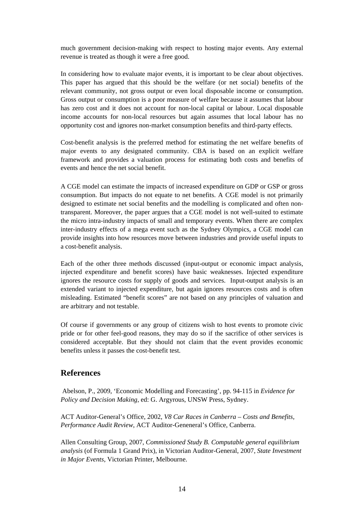much government decision-making with respect to hosting major events. Any external revenue is treated as though it were a free good.

In considering how to evaluate major events, it is important to be clear about objectives. This paper has argued that this should be the welfare (or net social) benefits of the relevant community, not gross output or even local disposable income or consumption. Gross output or consumption is a poor measure of welfare because it assumes that labour has zero cost and it does not account for non-local capital or labour. Local disposable income accounts for non-local resources but again assumes that local labour has no opportunity cost and ignores non-market consumption benefits and third-party effects.

Cost-benefit analysis is the preferred method for estimating the net welfare benefits of major events to any designated community. CBA is based on an explicit welfare framework and provides a valuation process for estimating both costs and benefits of events and hence the net social benefit.

A CGE model can estimate the impacts of increased expenditure on GDP or GSP or gross consumption. But impacts do not equate to net benefits. A CGE model is not primarily designed to estimate net social benefits and the modelling is complicated and often nontransparent. Moreover, the paper argues that a CGE model is not well-suited to estimate the micro intra-industry impacts of small and temporary events. When there are complex inter-industry effects of a mega event such as the Sydney Olympics, a CGE model can provide insights into how resources move between industries and provide useful inputs to a cost-benefit analysis.

Each of the other three methods discussed (input-output or economic impact analysis, injected expenditure and benefit scores) have basic weaknesses. Injected expenditure ignores the resource costs for supply of goods and services. Input-output analysis is an extended variant to injected expenditure, but again ignores resources costs and is often misleading. Estimated "benefit scores" are not based on any principles of valuation and are arbitrary and not testable.

Of course if governments or any group of citizens wish to host events to promote civic pride or for other feel-good reasons, they may do so if the sacrifice of other services is considered acceptable. But they should not claim that the event provides economic benefits unless it passes the cost-benefit test.

## **References**

 Abelson, P., 2009, 'Economic Modelling and Forecasting', pp. 94-115 in *Evidence for Policy and Decision Making*, ed: G. Argyrous, UNSW Press, Sydney.

ACT Auditor-General's Office, 2002, *V8 Car Races in Canberra – Costs and Benefits, Performance Audit Review*, ACT Auditor-Geneneral's Office, Canberra.

Allen Consulting Group, 2007, *Commissioned Study B. Computable general equilibrium analysis* (of Formula 1 Grand Prix), in Victorian Auditor-General, 2007, *State Investment in Major Events*, Victorian Printer, Melbourne.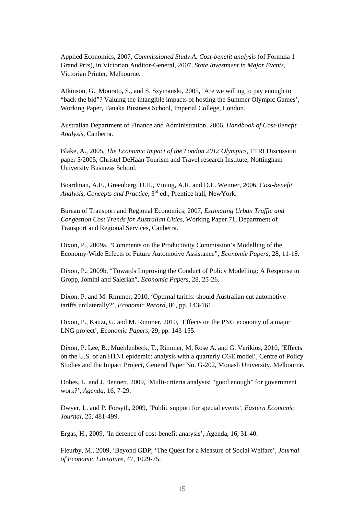Applied Economics, 2007, *Commissioned Study A. Cost-benefit analysis* (of Formula 1 Grand Prix), in Victorian Auditor-General, 2007, *State Investment in Major Events*, Victorian Printer, Melbourne.

Atkinson, G., Mourato, S., and S. Szymanski, 2005, 'Are we willing to pay enough to "back the bid"? Valuing the intangible impacts of hosting the Summer Olympic Games', Working Paper, Tanaka Business School, Imperial College, London.

Australian Department of Finance and Administration, 2006, *Handbook of Cost-Benefit Analysis*, Canberra.

Blake, A., 2005, *The Economic Impact of the London 2012 Olympics*, TTRI Discussion paper 5/2005, Christel DeHaan Tourism and Travel research Institute, Nottingham University Business School.

Boardman, A.E., Greenberg, D.H., Vining, A.R. and D.L. Weimer, 2006, *Cost-benefit Analysis, Concepts and Practice*, 3rd ed., Prentice hall, NewYork.

Bureau of Transport and Regional Economics, 2007, *Estimating Urban Traffic and Congestion Cost Trends for Australian Cities*, Working Paper 71, Department of Transport and Regional Services, Canberra.

Dixon, P., 2009a, "Comments on the Productivity Commission's Modelling of the Economy-Wide Effects of Future Automotive Assistance", *Economic Papers*, 28, 11-18.

Dixon, P., 2009b, "Towards Improving the Conduct of Policy Modelling: A Response to Gropp, Jomini and Salerian", *Economic Papers*, 28, 25-26.

Dixon, P. and M. Rimmer, 2010, 'Optimal tariffs: should Australian cut automotive tariffs unilaterally?', *Economic Record*, 86, pp. 143-161.

Dixon, P., Kauzi, G. and M. Rimmer, 2010, 'Effects on the PNG economy of a major LNG project', *Economic Papers*, 29, pp. 143-155.

Dixon, P. Lee, B., Muehlenbeck, T., Rimmer, M, Rose A. and G. Verikios, 2010, 'Effects on the U.S. of an H1N1 epidemic: analysis with a quarterly CGE model', Centre of Policy Studies and the Impact Project, General Paper No. G-202, Monash University, Melbourne.

Dobes, L. and J. Bennett, 2009, 'Multi-criteria analysis: "good enough" for government work?', *Agenda*, 16, 7-29.

Dwyer, L. and P. Forsyth, 2009, 'Public support for special events', *Eastern Economic Journal*, 25, 481-499.

Ergas, H., 2009, 'In defence of cost-benefit analysis', Agenda, 16, 31-40.

Fleurby, M., 2009, 'Beyond GDP; 'The Quest for a Measure of Social Welfare', *Journal of Economic Literature*, 47, 1029-75.